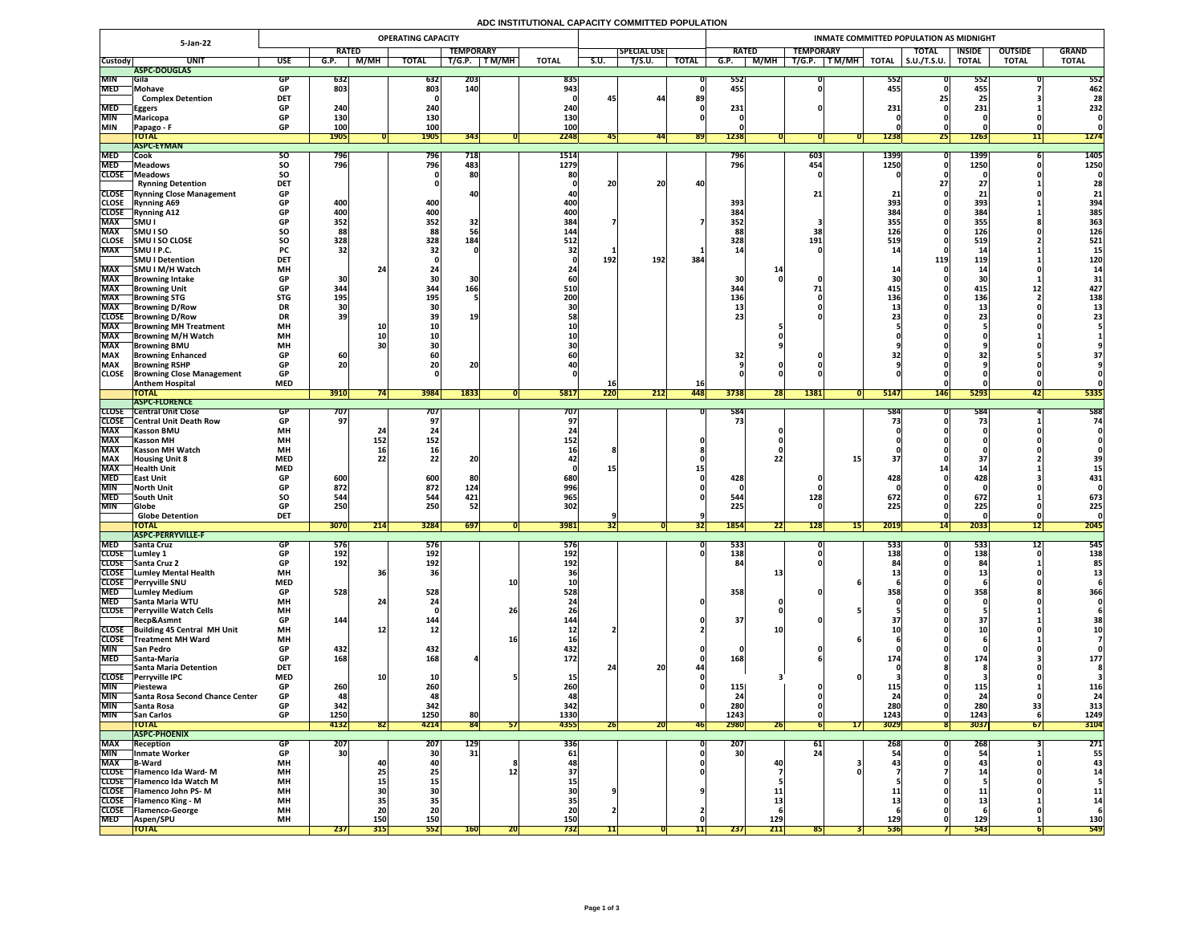## **ADC INSTITUTIONAL CAPACITY COMMITTED POPULATION**

|                            | 5-Jan-22                                                  | <b>OPERATING CAPACITY</b> |                   |                          |                 |                  |                 |              |             | INMATE COMMITTED POPULATION AS MIDNIGHT |              |                  |                                 |                   |                                                            |                   |                              |               |                |                  |  |
|----------------------------|-----------------------------------------------------------|---------------------------|-------------------|--------------------------|-----------------|------------------|-----------------|--------------|-------------|-----------------------------------------|--------------|------------------|---------------------------------|-------------------|------------------------------------------------------------|-------------------|------------------------------|---------------|----------------|------------------|--|
|                            |                                                           |                           | <b>RATED</b>      |                          |                 | <b>TEMPORARY</b> |                 |              |             | <b>SPECIAL USE</b>                      |              | <b>RATED</b>     |                                 | <b>TEMPORARY</b>  |                                                            |                   | <b>TOTAL</b>                 | <b>INSIDE</b> | <b>OUTSIDE</b> | <b>GRAND</b>     |  |
| <b>Custody</b>             | <b>UNIT</b>                                               | <b>USE</b>                | G.P.              | <b>M/MH</b>              | <b>TOTAL</b>    | T/G.P.           | T M/MH          | <b>TOTAL</b> | <b>S.U.</b> | T/S.U.                                  | <b>TOTAL</b> | G.P.             | <b>M/MH</b>                     | T/G.P.            | $\overline{\mathsf{T}\,\mathsf{M}/\mathsf{M}\mathsf{H}}$ , | <b>TOTAL</b>      | $\vert$ S.U./T.S.U.          | <b>TOTAL</b>  | <b>TOTAL</b>   | <b>TOTAL</b>     |  |
|                            | ASPC-DOUGLAS                                              |                           |                   |                          |                 |                  |                 |              |             |                                         |              |                  |                                 |                   |                                                            |                   |                              |               |                |                  |  |
| <b>MIN</b><br><b>MED</b>   | <b>Sila</b><br>Mohave                                     |                           | 632<br>803        |                          | 632<br>803      | 203<br>140       |                 | 835<br>943   |             |                                         |              | 552<br>455       |                                 |                   |                                                            | 552<br>455        |                              | 552<br>455    |                | 552<br>462       |  |
|                            | <b>Complex Detention</b>                                  | <b>DET</b>                |                   |                          |                 |                  |                 |              | 45          | 44                                      | 89           |                  |                                 |                   |                                                            |                   |                              | 25            |                | 28               |  |
| <b>MED</b>                 | <b>Eggers</b>                                             | <b>GP</b>                 | 240               |                          | 240             |                  |                 | 240          |             |                                         |              | 231              |                                 |                   |                                                            | 231               |                              | 231           |                | 232              |  |
| <b>MIN</b>                 | <b>Maricopa</b>                                           |                           | 130               |                          | <b>130</b>      |                  |                 | 130          |             |                                         |              |                  |                                 |                   |                                                            |                   |                              |               |                |                  |  |
| <b>MIN</b>                 | Papago - F                                                | <b>GP</b>                 | <b>100</b>        |                          | 100             |                  |                 | 100          |             |                                         |              |                  |                                 |                   |                                                            |                   |                              |               |                |                  |  |
|                            | <b>TOTAL</b><br><b>ASPC-EYMAN</b>                         |                           | <b>1905</b>       |                          | <b>1905</b>     | 343              |                 | 2248         |             | 441                                     | <b>891</b>   | 1238             |                                 |                   |                                                            | 1238              | <b>Z51</b>                   | <b>1263</b>   |                | 1274             |  |
| <b>MED</b>                 | <b>Cook</b>                                               | SO.                       | 796               |                          | <b>796</b>      | 718              |                 | 1514         |             |                                         |              | 796              |                                 | $\vert 603 \vert$ |                                                            | 1399              |                              | <b>1399</b>   |                | 1405             |  |
| <b>MED</b>                 | <b>Meadows</b>                                            | <b>SO</b>                 | 796               |                          | 796             | 483              |                 | 1279         |             |                                         |              | 796              |                                 | 454               |                                                            | 1250              |                              | <b>1250</b>   |                | 1250             |  |
| <b>CLOSE</b>               | <b>Meadows</b>                                            | SO                        |                   |                          |                 | 80               |                 | 80           |             |                                         |              |                  |                                 |                   |                                                            |                   |                              |               |                |                  |  |
|                            | <b>Rynning Detention</b>                                  | <b>DET</b>                |                   |                          |                 |                  |                 |              | 20          | 20                                      | 40           |                  |                                 |                   |                                                            |                   |                              | $\mathbf{Z}$  |                | 28               |  |
|                            | <b>CLOSE</b> Rynning Close Management                     | <b>GP</b>                 |                   |                          |                 |                  |                 |              |             |                                         |              |                  |                                 | 21 <sub>1</sub>   |                                                            |                   |                              |               |                | 21               |  |
| <b>CLOSE</b>               | <b>Rynning A69</b>                                        | <b>GP</b>                 | 400               |                          | 400             |                  |                 | 400          |             |                                         |              | 393              |                                 |                   |                                                            | 393               |                              | 393           |                | 394              |  |
| <b>CLOSE</b><br><b>MAX</b> | <b>Rynning A12</b><br><b>SMU</b>                          |                           | 400<br>352        |                          | 400<br>352      | 32               |                 | 400 <br>384  |             |                                         |              | 384<br>352       |                                 |                   |                                                            | 384<br>355        |                              | 384<br>355    |                | 385<br>363       |  |
| <b>MAX</b>                 | <b>SMUISO</b>                                             | SO                        | 88                |                          | 88              |                  |                 | 144          |             |                                         |              | 88               |                                 | 38                |                                                            | 126               |                              | 126           |                | 126              |  |
| <b>CLOSE</b>               | <b>SMUISO CLOSE</b>                                       | <b>SO</b>                 | 328               |                          | 328             | 184              |                 | 512          |             |                                         |              | 328              |                                 | 191               |                                                            | <b>519</b>        |                              | 519           |                | 521              |  |
| <b>MAX</b>                 | <b>SMUIP.C.</b>                                           | <b>PC</b>                 | 32 <sub>1</sub>   |                          |                 |                  |                 |              |             |                                         |              |                  |                                 |                   |                                                            |                   |                              |               |                |                  |  |
|                            | <b>SMU I Detention</b>                                    | <b>DET</b>                |                   |                          |                 |                  |                 |              | 192         | 192                                     | 384          |                  |                                 |                   |                                                            |                   | 119                          | 119           |                | 120              |  |
| <b>MAX</b>                 | <b>SMU I M/H Watch</b>                                    | <b>MH</b>                 |                   |                          |                 |                  |                 |              |             |                                         |              |                  |                                 |                   |                                                            |                   |                              | 1/            |                |                  |  |
| <b>MAX</b>                 | <b>Browning Intake</b>                                    | <b>GP</b>                 | 30                |                          | <b>30</b>       |                  |                 |              |             |                                         |              | 30               |                                 |                   |                                                            |                   |                              | 30            |                |                  |  |
| <b>MAX</b><br><b>MAX</b>   | <b>Browning Unit</b><br><b>Browning STG</b>               | <b>GP</b><br><b>STG</b>   | 344<br>195        |                          | 344<br>195      | 166              |                 | 510<br>200   |             |                                         |              | 344<br>136       |                                 |                   |                                                            | 415<br>136        |                              | 415<br>136    |                | 427<br>138       |  |
| <b>MAX</b>                 | <b>Browning D/Row</b>                                     | <b>DR</b>                 |                   |                          |                 |                  |                 |              |             |                                         |              |                  |                                 |                   |                                                            |                   |                              | --            |                |                  |  |
| <b>CLOSE</b>               | <b>Browning D/Row</b>                                     | <b>DR</b>                 | 39                |                          |                 | <b>19</b>        |                 |              |             |                                         |              | 231              |                                 |                   |                                                            |                   |                              |               |                |                  |  |
| <b>MAX</b>                 | <b>Browning MH Treatment</b>                              | <b>MH</b>                 |                   |                          |                 |                  |                 |              |             |                                         |              |                  |                                 |                   |                                                            |                   |                              |               |                |                  |  |
| <b>MAX</b>                 | <b>TBrowning M/H Watch</b>                                | <b>MH</b>                 |                   |                          |                 |                  |                 |              |             |                                         |              |                  |                                 |                   |                                                            |                   |                              |               |                |                  |  |
| <b>MAX</b>                 | <b>IBrowning BMU</b>                                      | <b>MH</b>                 |                   |                          |                 |                  |                 |              |             |                                         |              |                  |                                 |                   |                                                            |                   |                              |               |                |                  |  |
| <b>MAX</b><br><b>MAX</b>   | <b>Browning Enhanced</b>                                  | <b>GP</b><br><b>GP</b>    | 60<br>20          |                          | 20              | nn.              |                 |              |             |                                         |              | 32               |                                 |                   |                                                            |                   |                              |               |                |                  |  |
| <b>CLOSE</b>               | <b>Browning RSHP</b><br><b>Browning Close Management</b>  | <b>GP</b>                 |                   |                          |                 | ZU               |                 |              |             |                                         |              |                  |                                 |                   |                                                            |                   |                              |               |                |                  |  |
|                            | <b>Anthem Hospital</b>                                    | <b>MED</b>                |                   |                          |                 |                  |                 |              | TQ          |                                         | <b>16</b>    |                  |                                 |                   |                                                            |                   |                              |               |                |                  |  |
|                            | <b>TOTAL</b>                                              |                           | 3910              |                          | 3984            | 1833             |                 | <b>5817</b>  | 220         | 212                                     | 448          | 3738             | 28                              | 1381              |                                                            | <b>5147</b>       | <b>146</b>                   | 5293          | 4Z             | 5335             |  |
|                            | ASPC-FLORENCE                                             |                           |                   |                          |                 |                  |                 |              |             |                                         |              |                  |                                 |                   |                                                            |                   |                              |               |                |                  |  |
| <b>CLOSE</b>               | <b>Central Unit Close</b>                                 |                           | 101               |                          | 707             |                  |                 | 707          |             |                                         |              | 584              |                                 |                   |                                                            | <b>584</b>        |                              | 584           |                | 588              |  |
| <b>MAX</b>                 | <b>CLOSE</b> Central Unit Death Row<br><b>Kasson BMU</b>  | <b>MH</b>                 | 97'               |                          |                 |                  |                 |              |             |                                         |              |                  |                                 |                   |                                                            |                   |                              |               |                | 74               |  |
| <b>MAX</b>                 | <b>Kasson MH</b>                                          | <b>MH</b>                 |                   | 152                      | 152             |                  |                 | <b>152</b>   |             |                                         |              |                  |                                 |                   |                                                            |                   |                              |               |                |                  |  |
| <b>MAX</b>                 | <b>Kasson MH Watch</b>                                    | <b>MH</b>                 |                   | <b>16</b>                |                 |                  |                 |              |             |                                         |              |                  |                                 |                   |                                                            |                   |                              |               |                |                  |  |
| <b>MAX</b>                 | <b>Housing Unit 8</b>                                     | <b>MED</b>                |                   |                          | 22 <sub>1</sub> | nn.              |                 |              |             |                                         |              |                  |                                 |                   |                                                            |                   |                              |               |                | 39               |  |
| <b>MAX</b>                 | <b>Health Unit</b>                                        | <b>MED</b>                |                   |                          |                 |                  |                 |              |             |                                         |              |                  |                                 |                   |                                                            |                   |                              |               |                |                  |  |
| <b>MED</b>                 | <b>TEast Unit</b>                                         |                           | 600               |                          | 600             | 80               |                 | 680          |             |                                         |              | 428              |                                 |                   |                                                            | 428               |                              | 428           |                | 431              |  |
| <b>MIN</b><br><b>MED</b>   | North Unit<br><b>South Unit</b>                           | <b>SO</b>                 | 872<br>544        |                          | 872<br>544      | 124<br>421       |                 | 996<br>965   |             |                                         |              | 544              |                                 | 128               |                                                            | 672               |                              | 672           |                | 673              |  |
| MIN                        | <b>Globe</b>                                              |                           | 250               |                          | 250             | 52               |                 | 302          |             |                                         |              | 225 <sub>1</sub> |                                 |                   |                                                            | 225               |                              | 225           |                | 225              |  |
|                            | <b>Globe Detention</b>                                    | <b>DET</b>                |                   |                          |                 |                  |                 |              |             |                                         |              |                  |                                 |                   |                                                            |                   |                              |               |                |                  |  |
|                            | <b>TOTAL</b>                                              |                           | 3070              | 214                      | 3284            | 697              |                 | 3981         | 32          |                                         | [32]         | 1854             | $\overline{\phantom{a}}$<br> 22 | <b>128</b>        | 15                                                         | 2019              | $\overline{1}$<br><b>141</b> | 2033          | 12             | 2045             |  |
|                            | <b>ASPC-PERRYVILLE-F</b>                                  |                           |                   |                          |                 |                  |                 |              |             |                                         |              |                  |                                 |                   |                                                            |                   |                              |               |                |                  |  |
| <b>MED</b>                 | <b>Santa Cruz</b>                                         |                           | 576               |                          | 576             |                  |                 | <b>576</b>   |             |                                         |              | 533              |                                 |                   |                                                            | 5331              |                              | 533           |                | 545              |  |
| <b>CLOSE</b>               | Lumley 1<br>CLOSE Santa Cruz 2                            | <b>GP</b>                 | 192<br><b>192</b> |                          | 192<br>192      |                  |                 | 192<br>192   |             |                                         |              | 138              |                                 |                   |                                                            | 138               |                              | 138<br>84     |                | 138<br>85        |  |
| <b>CLOSE</b>               | <b>TLumley Mental Health</b>                              | <b>MH</b>                 |                   |                          | <b>36</b>       |                  |                 |              |             |                                         |              |                  |                                 |                   |                                                            |                   |                              |               |                |                  |  |
|                            | CLOSE Perryville SNU                                      | <b>MED</b>                |                   |                          |                 |                  | <b>10</b>       |              |             |                                         |              |                  |                                 |                   |                                                            |                   |                              |               |                |                  |  |
| <b>MED</b>                 | <b>Lumley Medium</b>                                      | <b>GP</b>                 | 528               |                          | 528             |                  |                 | 528          |             |                                         |              | 358              |                                 |                   |                                                            | 358               |                              | 358           |                | 366              |  |
| <b>MED</b>                 | <b>Santa Maria WTU</b>                                    | <b>MH</b>                 |                   |                          |                 |                  |                 |              |             |                                         |              |                  |                                 |                   |                                                            |                   |                              |               |                |                  |  |
|                            | CLOSE Perryville Watch Cells                              | <b>MH</b>                 |                   |                          |                 |                  | 26              |              |             |                                         |              |                  |                                 |                   |                                                            |                   |                              |               |                |                  |  |
|                            | Recp&Asmnt<br>CLOSE Building 45 Central MH Unit           | <b>GP</b><br><b>MH</b>    | 144               |                          | 144             |                  |                 | 144          |             |                                         |              | 37 <sub>1</sub>  |                                 |                   |                                                            |                   |                              |               |                | 38               |  |
| <b>CLOSE</b>               | <b>Treatment MH Ward</b>                                  | <b>MH</b>                 |                   |                          |                 |                  |                 |              |             |                                         |              |                  |                                 |                   |                                                            |                   |                              |               |                |                  |  |
| <b>MIN</b>                 | <b>San Pedro</b>                                          | <b>GP</b>                 | 432               |                          | 432             |                  |                 | 432          |             |                                         |              |                  |                                 |                   |                                                            |                   |                              |               |                |                  |  |
| <b>MED</b>                 | <b>Santa-Maria</b>                                        |                           | 168               |                          | 168             |                  |                 | 172          |             |                                         |              | 168              |                                 |                   |                                                            | 174               |                              | 174           |                | 177              |  |
|                            | <b>Santa Maria Detention</b>                              | <b>DET</b>                |                   |                          |                 |                  |                 |              |             | 20                                      |              |                  |                                 |                   |                                                            |                   |                              |               |                |                  |  |
| <b>CLOSE</b>               | <b>Perryville IPC</b>                                     | <b>MED</b>                |                   |                          |                 |                  |                 |              |             |                                         |              |                  |                                 |                   |                                                            |                   |                              |               |                |                  |  |
| <b>MIN</b><br><b>MIN</b>   | <b>Piestewa</b><br><b>Santa Rosa Second Chance Center</b> | <b>GP</b>                 | 260               |                          | 260<br>48       |                  |                 | 48           |             |                                         |              | 115<br>24        |                                 |                   |                                                            | __                |                              | 115'<br>24    |                | <b>116</b><br>24 |  |
| <b>MIN</b>                 | <b>Santa Rosa</b>                                         |                           | 342               |                          | 342             |                  |                 | 342          |             |                                         |              | 280              |                                 |                   |                                                            | 280               |                              | 280           |                | 313              |  |
| <b>MIN</b>                 | <b>San Carlos</b>                                         | <b>GP</b>                 | 1250              |                          | 1250            | 80               |                 | 1330         |             |                                         |              | 1243             |                                 |                   |                                                            | 1243              |                              | 1243          |                | 1249             |  |
|                            | <b>TOTAL</b>                                              |                           | 4132              | <b>82</b>                | 4214            | 84               | 57 <sub>1</sub> | 4355         | <b>26</b>   | ZUI                                     | <b>46</b>    | 2980             | 26                              |                   | 17 <sup>1</sup>                                            | 3029              |                              | 3037          | 671            | 3104             |  |
|                            | <b>ASPC-PHOENIX</b>                                       |                           |                   |                          |                 |                  |                 |              |             |                                         |              |                  |                                 |                   |                                                            |                   |                              |               |                |                  |  |
| <b>MAX</b>                 | Reception                                                 |                           | <b>207</b>        |                          | 207             | <b>129</b>       |                 | 336          |             |                                         |              | 207              |                                 | 61                |                                                            | 268               |                              | 200           |                | 271              |  |
| <b>MIN</b><br><b>MAX</b>   | <b>Inmate Worker</b>                                      | <b>GP</b><br><b>MH</b>    | 30                |                          | 30 <sup>1</sup> | 31               |                 | 61           |             |                                         |              | 30 <sup>1</sup>  | 40                              |                   |                                                            |                   |                              | 54            |                | 55               |  |
|                            | <b>B-Ward</b><br>CLOSE   Flamenco Ida Ward-M              | <b>MH</b>                 |                   |                          | <b>Z5</b>       |                  |                 |              |             |                                         |              |                  |                                 |                   |                                                            |                   |                              |               |                | 43               |  |
|                            | CLOSE   Flamenco Ida Watch M                              | <b>MH</b>                 |                   | LJ                       |                 |                  |                 |              |             |                                         |              |                  |                                 |                   |                                                            |                   |                              |               |                |                  |  |
|                            | CLOSE   Flamenco John PS-M                                | <b>MH</b>                 |                   |                          |                 |                  |                 |              |             |                                         |              |                  |                                 |                   |                                                            |                   |                              |               |                | 11               |  |
|                            | CLOSE   Flamenco King - M                                 | <b>MH</b>                 |                   |                          |                 |                  |                 |              |             |                                         |              |                  |                                 |                   |                                                            |                   |                              |               |                |                  |  |
|                            | CLOSE   Flamenco-George                                   | <b>MH</b>                 |                   |                          | 20              |                  |                 |              |             |                                         |              |                  |                                 |                   |                                                            |                   |                              |               |                |                  |  |
| <b>MED</b>                 | <b>Aspen/SPU</b>                                          | <b>MH</b>                 |                   | <b>150</b><br><b>315</b> | 150<br>552      | <b>160</b>       |                 | 150<br>732   |             |                                         |              | 237              | 129<br>211                      |                   |                                                            | 129<br><b>536</b> |                              | 129<br>543    |                | 130<br>549       |  |
|                            | <b>TOTAL</b>                                              |                           | 237               |                          |                 |                  | <b>ZU</b>       |              |             |                                         |              |                  |                                 | 85                |                                                            |                   |                              |               |                |                  |  |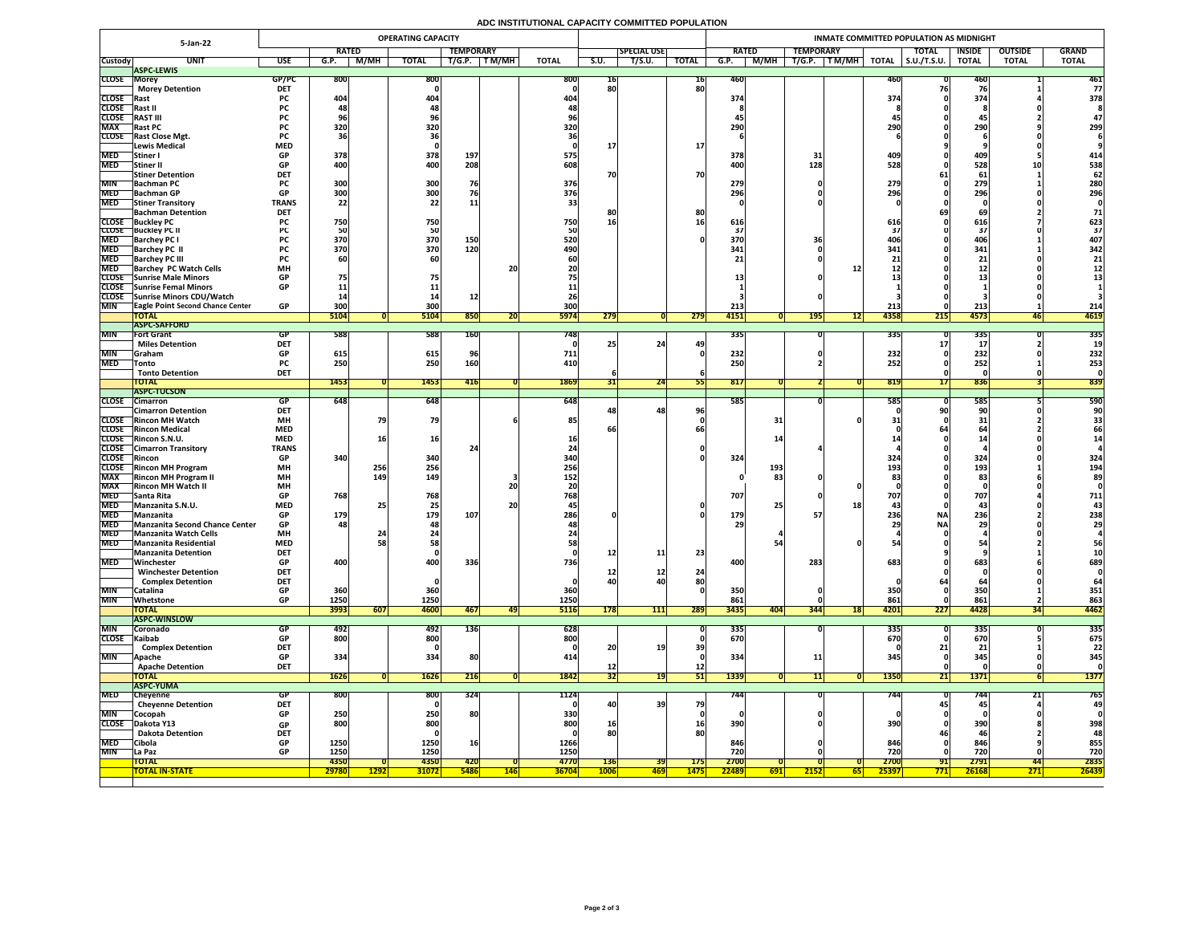## **ADC INSTITUTIONAL CAPACITY COMMITTED POPULATION**

|                          | <b>OPERATING CAPACITY</b><br><b>5-Jan-22</b>       |                          |              |               |                                |             |            |              |                    |                   |              | INMATE COMMITTED POPULATION AS MIDNIGHT |                  |                     |                     |               |                |              |  |  |  |  |
|--------------------------|----------------------------------------------------|--------------------------|--------------|---------------|--------------------------------|-------------|------------|--------------|--------------------|-------------------|--------------|-----------------------------------------|------------------|---------------------|---------------------|---------------|----------------|--------------|--|--|--|--|
|                          |                                                    |                          | <b>RATED</b> |               | <b>TEMPORARY</b>               |             |            |              | <b>SPECIAL USE</b> |                   |              | <b>RATED</b>                            | <b>TEMPORARY</b> |                     | <b>TOTAL</b>        | <b>INSIDE</b> | <b>OUTSIDE</b> | <b>GRAND</b> |  |  |  |  |
| <b>Custody</b>           | <b>UNIT</b>                                        | <b>USE</b>               | G.P.         | M/MH          | <b>TOTAL</b>                   | T/G.P.      | T M/MH     | <b>TOTAL</b> | S.U.               | T/S.U.            | <b>TOTAL</b> | M/MH<br>G.P.                            | T/G.P.<br>TM/MH  | <b>TOTAL</b>        | $\vert$ S.U./T.S.U. | <b>TOTAL</b>  | <b>TOTAL</b>   | <b>TOTAL</b> |  |  |  |  |
| <b>CLOSE Morey</b>       | <b>ASPC-LEWIS</b>                                  | GP/PC                    | <b>800</b>   |               | 800                            |             |            | <b>800</b>   |                    |                   |              | 460                                     |                  |                     |                     |               |                | 461          |  |  |  |  |
|                          | <b>Morey Detention</b>                             | <b>DET</b>               |              |               |                                |             |            |              | TP<br>80           |                   | 16<br>80     |                                         |                  |                     |                     | 460           |                | 77           |  |  |  |  |
| <b>CLOSE</b> Rast        |                                                    | <b>PC</b>                | 404          |               | 404                            |             |            | <b>404</b>   |                    |                   |              | 374                                     |                  | 374                 |                     | 374           |                | 378          |  |  |  |  |
| CLOSE Rast II            |                                                    | <b>PC</b>                |              |               |                                |             |            |              |                    |                   |              |                                         |                  |                     |                     |               |                |              |  |  |  |  |
| <b>CLOSE</b>             | <b>RAST III</b>                                    | <b>PC</b>                |              |               |                                |             |            |              |                    |                   |              |                                         |                  |                     |                     | 45            |                |              |  |  |  |  |
| <b>MAX</b>               | <b>Rast PC</b><br><b>CLOSE</b> Rast Close Mgt.     | <b>PC</b>                | <b>320</b>   |               | 320                            |             |            | 320          |                    |                   |              | 290                                     |                  | <b>290</b>          |                     | 290           |                | 299          |  |  |  |  |
|                          | Lewis Medical                                      | <b>PC</b><br><b>MED</b>  |              |               |                                |             |            |              |                    |                   | <b>17</b>    |                                         |                  |                     |                     |               |                |              |  |  |  |  |
| <b>MED</b>               | Stiner I                                           | <b>GP</b>                | 378          |               | 378                            | 197         |            | 575          |                    |                   |              | 378                                     |                  | 409                 |                     | 409           |                | 414          |  |  |  |  |
| <b>MED</b>               | Stiner II                                          | <b>GP</b>                | 400          |               | 400                            | 208         |            | 608          |                    |                   |              | 400                                     | 128              | 528                 |                     | 528           |                | 538          |  |  |  |  |
|                          | <b>Stiner Detention</b>                            | <b>DET</b>               |              |               |                                |             |            |              | 70                 |                   | 70           |                                         |                  |                     |                     | 61            |                | 62           |  |  |  |  |
| <b>MIN</b>               | <b>Bachman PC</b>                                  | <b>PC</b><br>GD.         | 300<br>ാവി   |               | 300<br><b>3UUL</b>             | 76          |            | 376          |                    |                   |              | 279                                     |                  | 279<br>2961         |                     | 279<br>206    |                | 280          |  |  |  |  |
| <b>MED</b>               | MED Bachman GP<br><b>Stiner Transitory</b>         | VГ<br><b>TRANS</b>       | JUU<br>22    |               | <b>POOL</b><br>22 <sub>1</sub> |             |            | 376          |                    |                   |              | 296                                     |                  | LJU                 |                     | LJU           |                | 296          |  |  |  |  |
|                          | <b>Bachman Detention</b>                           | <b>DET</b>               |              |               |                                | ᆂᆂ          |            |              | 8Ľ                 |                   | 80           |                                         |                  |                     |                     |               |                | 71           |  |  |  |  |
|                          | <b>CLOSE</b> Buckley PC                            |                          | 750          |               | 750                            |             |            | 750          | 16                 |                   |              | 616                                     |                  | 616                 |                     | 616           |                | 623          |  |  |  |  |
|                          | <b>CLOSE</b> Buckley PC II                         |                          |              |               | 50                             |             |            |              |                    |                   |              |                                         |                  |                     |                     |               |                | 37           |  |  |  |  |
| <b>MED</b>               | <b>Barchey PC I</b>                                |                          | 370          |               | 370                            | <b>150</b>  |            | 520          |                    |                   |              | 370                                     |                  |                     |                     | <b>406</b>    |                | 407          |  |  |  |  |
| <b>MED</b><br><b>MED</b> | <b>Barchey PC II</b><br><b>Barchey PC III</b>      | <b>PC</b>                | 370          |               | 370                            | 120         |            | 490          |                    |                   |              | 341                                     |                  | 341                 |                     | 341           |                | 342<br>21    |  |  |  |  |
| <b>MED</b>               | <b>Barchey PC Watch Cells</b>                      | <b>MH</b>                |              |               |                                |             | 20         |              |                    |                   |              |                                         |                  |                     |                     |               |                |              |  |  |  |  |
|                          | CLOSE Sunrise Male Minors                          | <b>GP</b>                | 75           |               |                                |             |            |              |                    |                   |              |                                         |                  |                     |                     | & &           |                |              |  |  |  |  |
|                          | <b>CLOSE</b> Sunrise Femal Minors                  | <b>GP</b>                |              |               |                                |             |            |              |                    |                   |              |                                         |                  |                     |                     |               |                |              |  |  |  |  |
|                          | CLOSE Sunrise Minors CDU/Watch                     |                          |              |               |                                |             |            |              |                    |                   |              |                                         |                  |                     |                     |               |                |              |  |  |  |  |
| <b>MIN</b>               | <b>TEagle Point Second Chance Center</b>           | <b>GP</b>                | 300          |               | 300                            |             |            | 300          |                    |                   |              | 213                                     |                  | 213                 |                     | 213           |                | 214          |  |  |  |  |
|                          | <b>TOTAL</b><br><b>ASPC-SAFFORD</b>                |                          | 5104         |               | 5104                           | 850         | ZUI        | <b>5974</b>  | 279                |                   | 279          | 4151                                    | <b>195</b>       | 4358<br><b>1217</b> | 215                 | 4573          | 46             | 4619         |  |  |  |  |
| <b>MIN</b>               | <b>Fort Grant</b>                                  | <b>GP</b>                | 588          |               | 588                            | <b>160</b>  |            | 748          |                    |                   |              | 335                                     |                  | <b>3351</b>         |                     | 335           |                | 335          |  |  |  |  |
|                          | <b>Miles Detention</b>                             | <b>DET</b>               |              |               |                                |             |            |              |                    | 24                | 49           |                                         |                  |                     |                     |               |                |              |  |  |  |  |
| <b>MIN</b>               | <b>Graham</b>                                      | <b>GP</b>                | 615          |               | 615                            |             |            | 711          |                    |                   |              | 232                                     |                  | <b>232)</b>         |                     | 232           |                | 232          |  |  |  |  |
| <b>MED</b>               | <b>Tonto</b>                                       | <b>PC</b>                | 250          |               | 250                            | <b>160</b>  |            | 410          |                    |                   |              | 250                                     |                  | 252                 |                     | 252           |                | 253          |  |  |  |  |
|                          | <b>Tonto Detention</b><br><b>TOTAL</b>             | <b>DET</b>               | 1453         |               | 1453                           |             |            |              |                    | 24                |              | 817                                     |                  |                     |                     |               |                |              |  |  |  |  |
|                          | <b>ASPC-TUCSON</b>                                 |                          |              |               |                                | <b>416</b>  |            | 1869         | <b>JTI</b>         |                   |              |                                         |                  | 819                 |                     | 836           |                | 839          |  |  |  |  |
| <b>CLOSE</b>             | <b>Cimarron</b>                                    | GP                       | 648          |               | 648                            |             |            | 648          |                    |                   |              | 585                                     |                  | <b>5851</b>         |                     | 585           |                | 590          |  |  |  |  |
|                          | <b>Cimarron Detention</b>                          | <b>DET</b>               |              |               |                                |             |            |              |                    | 48                | 96           |                                         |                  |                     |                     |               |                |              |  |  |  |  |
|                          | <b>CLOSE</b> Rincon MH Watch                       | <b>MH</b>                |              |               | 79                             |             |            | 85           |                    |                   |              | 31                                      |                  |                     |                     |               |                |              |  |  |  |  |
|                          | <b>CLOSE</b> Rincon Medical<br>CLOSE Rincon S.N.U. | <b>MED</b><br><b>MED</b> |              |               | 16                             |             |            |              | bt                 |                   |              |                                         |                  |                     |                     |               |                | 66           |  |  |  |  |
|                          | <b>CLOSE</b> Cimarron Transitory                   | <b>TRANS</b>             |              |               |                                |             |            |              |                    |                   |              |                                         |                  |                     |                     |               |                |              |  |  |  |  |
| CLOSE Rincon             |                                                    | <b>GP</b>                | 340          |               | 340                            |             |            | 340          |                    |                   |              | 324                                     |                  | 324                 |                     | 324           |                | 324          |  |  |  |  |
|                          | CLOSE Rincon MH Program                            | <b>MH</b>                |              | 256           | 256                            |             |            | 256          |                    |                   |              | 193                                     |                  | 193                 |                     | 193           |                | 194          |  |  |  |  |
| <b>MAX</b>               | <b>Rincon MH Program II</b>                        | <b>MH</b>                |              | 149           | 149                            |             |            | 152          |                    |                   |              | 83                                      |                  |                     |                     | 83            |                | 89           |  |  |  |  |
| <b>MAX</b>               | <b>Rincon MH Watch II</b>                          | <b>MH</b>                |              |               |                                |             | 20         |              |                    |                   |              |                                         |                  |                     |                     |               |                |              |  |  |  |  |
| <b>MED</b><br><b>MED</b> | <b>Santa Rita</b><br>Manzanita S.N.U.              | <b>GP</b><br><b>MED</b>  | 768          |               | 768                            |             | <b>20</b>  | 768          |                    |                   |              | 707<br>25                               |                  | 707<br>18           |                     | 707<br>43     |                | 711          |  |  |  |  |
| <b>MED</b>               | Manzanita                                          | <b>GP</b>                | 179          |               | 179                            | 107         |            | 286          |                    |                   |              | 179                                     |                  | 236                 | <b>NA</b>           | 236           |                | 238          |  |  |  |  |
|                          | MED Manzanita Second Chance Center                 | GP                       | 481          |               | 481                            |             |            |              |                    |                   |              | 29                                      |                  |                     | <b>NA</b>           | <b>29</b>     |                | <b>29</b>    |  |  |  |  |
| <b>MED</b>               | Manzanita Watch Cells                              | <b>MH</b>                |              |               |                                |             |            |              |                    |                   |              |                                         |                  |                     |                     |               |                |              |  |  |  |  |
| <b>MED</b>               | <b>Manzanita Residential</b>                       | <b>MED</b>               |              |               | 58                             |             |            |              |                    |                   |              |                                         |                  |                     |                     |               |                | 56           |  |  |  |  |
| <b>MED</b>               | Manzanita Detention<br>Winchester                  | <b>DET</b><br><b>GP</b>  | 400          |               | 400                            | 336         |            | 736          | <u>12</u>          | 11                | 23           | 400                                     | 283              | 683                 |                     | 683           |                | 689          |  |  |  |  |
|                          | <b>Winchester Detention</b>                        | <b>DET</b>               |              |               |                                |             |            |              | TC                 | ┷                 | 24           |                                         |                  |                     |                     |               |                |              |  |  |  |  |
|                          | <b>Complex Detention</b>                           | <b>DET</b>               |              |               |                                |             |            |              | 40                 |                   | 80           |                                         |                  |                     |                     |               |                |              |  |  |  |  |
| <b>MIN</b>               | Catalina                                           | <b>GP</b>                | 360          |               | 360                            |             |            | 360          |                    |                   |              | 350                                     |                  | <b>350</b>          |                     | <b>350</b>    |                | 351          |  |  |  |  |
| <b>MIN</b>               | Whetstone                                          | <b>GP</b>                | 1250         |               | 1250                           |             |            | 1250         |                    |                   |              | 861                                     |                  | 861                 |                     | 861           |                | 863          |  |  |  |  |
|                          | <b>TOTAL</b><br><b>ASPC-WINSLOW</b>                |                          | 3993         | 607           | 4600                           | 467         | 49         | <b>5116</b>  | 178                | 111               | 289          | 3435<br><b>404</b>                      | 344              | 4201<br><b>18</b>   | 227                 | 4428          |                | 4462         |  |  |  |  |
| <b>MIN</b>               | <b>Coronado</b>                                    | GP.                      | 492          |               | 492                            | <b>136</b>  |            | 628          |                    |                   |              | 335                                     |                  | 335                 |                     | 335           |                | 335          |  |  |  |  |
| CLOSE Kaibab             |                                                    | GP                       | 800          |               | 800                            |             |            | 800          |                    |                   |              | 670                                     |                  | 670                 |                     | 670           |                | 675          |  |  |  |  |
|                          | <b>Complex Detention</b>                           | <b>DET</b>               |              |               |                                |             |            |              | 20                 | 19 <sub>1</sub>   | 39           |                                         |                  |                     |                     |               |                | 22           |  |  |  |  |
| <b>MIN</b>               | <b>Apache</b>                                      | <b>GP</b>                | 334          |               | 334                            | 80          |            |              |                    |                   |              | 334                                     |                  | 345                 |                     | 345           |                | 345          |  |  |  |  |
|                          | <b>Apache Detention</b>                            | <b>DET</b>               |              |               |                                |             |            |              | <u>12</u>          |                   | $12$         |                                         |                  |                     |                     |               |                |              |  |  |  |  |
|                          | <b>TOTAL</b><br><b>ASPC-YUMA</b>                   |                          | 1626         |               | <b>1626</b>                    | 216         |            | 1842         | 32                 | 191               | 51           | 1339                                    |                  | <b>1350</b>         | 21                  | 1371          |                | <b>1377</b>  |  |  |  |  |
| <b>MED</b>               | <b>Cheyenne</b>                                    | <b>GP</b>                | <b>800</b>   |               | 800                            | 324         |            | 1124         |                    |                   |              | 744                                     |                  | 744                 |                     | 744           |                | 765          |  |  |  |  |
|                          | <b>Cheyenne Detention</b>                          | <b>DET</b>               |              |               |                                |             |            |              | $-401$             | 39                | 79           |                                         |                  |                     |                     | 45            |                | 49           |  |  |  |  |
| <b>MIN</b>               | <b>Cocopah</b>                                     | <b>GP</b>                | 250          |               | 250                            | <b>80</b>   |            | 330          |                    |                   |              |                                         |                  |                     |                     |               |                |              |  |  |  |  |
|                          | CLOSE Dakota Y13                                   | <b>GP</b>                | 800          |               | 800                            |             |            | 800          | 16 <sub>1</sub>    |                   | <b>16</b>    | 390                                     |                  | 390                 |                     | 390           |                | 398          |  |  |  |  |
|                          | <b>Dakota Detention</b>                            | <b>DET</b><br><b>GP</b>  |              |               |                                |             |            |              | 80                 |                   | 80           |                                         |                  |                     |                     |               |                | 48           |  |  |  |  |
| <b>MED</b><br><b>MIN</b> | <b>Cibola</b><br><b>La Paz</b>                     | <b>GP</b>                | 1250<br>1250 |               | 1250<br>1250                   |             |            | 1266<br>1250 |                    |                   |              | 846<br>720                              |                  | 846<br>720          |                     | 846<br>720    |                | 855<br>720   |  |  |  |  |
|                          | <b>TOTAL</b>                                       |                          | 4350         |               | <b>4350</b>                    | <b>420</b>  |            | 4770         | <b>136</b>         | <b>39</b>         | <b>175</b>   | 2700                                    |                  | 2700                | 91                  | 2791          | 44             | 2835         |  |  |  |  |
|                          | <b>TOTAL IN-STATE</b>                              |                          | 29780        | <u> 1292 </u> | <b>31072</b>                   | <b>5486</b> | <b>146</b> | <b>36704</b> | <b>1006</b>        | <mark> 469</mark> | <b>1475</b>  | 22489<br>$\boxed{691}$                  | <b>2152</b>      | 25397<br>65         | 771                 | 26168         | 271            | 26439        |  |  |  |  |
|                          |                                                    |                          |              |               |                                |             |            |              |                    |                   |              |                                         |                  |                     |                     |               |                |              |  |  |  |  |